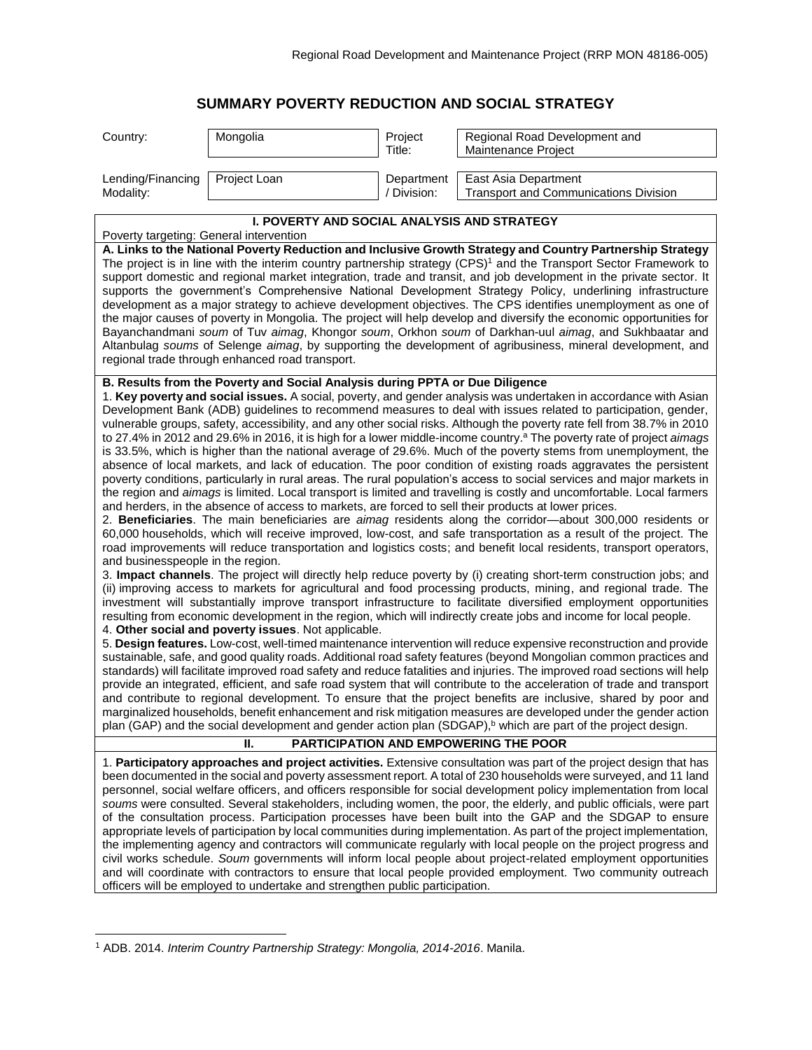## **SUMMARY POVERTY REDUCTION AND SOCIAL STRATEGY**

| Country:                                                                                                                                                                                                                                                                                                                                                                                                                                                                                                                                                                                                                                                                                                                                                                                                                                                                                                                                                                                                                                                                                                                                                                                                                                                                                                                                                                                                                                                                                                                                                                                                                                                                                                                                                                                                                                                                                                                                                                                                                                                                                                                                                                                                                                                                                                                                                                                                                                                                                                                                                                                                                                                                                                                                                                                                                                                                                                                                                                                      | Mongolia     | Project<br>Title:         | Regional Road Development and<br>Maintenance Project          |  |
|-----------------------------------------------------------------------------------------------------------------------------------------------------------------------------------------------------------------------------------------------------------------------------------------------------------------------------------------------------------------------------------------------------------------------------------------------------------------------------------------------------------------------------------------------------------------------------------------------------------------------------------------------------------------------------------------------------------------------------------------------------------------------------------------------------------------------------------------------------------------------------------------------------------------------------------------------------------------------------------------------------------------------------------------------------------------------------------------------------------------------------------------------------------------------------------------------------------------------------------------------------------------------------------------------------------------------------------------------------------------------------------------------------------------------------------------------------------------------------------------------------------------------------------------------------------------------------------------------------------------------------------------------------------------------------------------------------------------------------------------------------------------------------------------------------------------------------------------------------------------------------------------------------------------------------------------------------------------------------------------------------------------------------------------------------------------------------------------------------------------------------------------------------------------------------------------------------------------------------------------------------------------------------------------------------------------------------------------------------------------------------------------------------------------------------------------------------------------------------------------------------------------------------------------------------------------------------------------------------------------------------------------------------------------------------------------------------------------------------------------------------------------------------------------------------------------------------------------------------------------------------------------------------------------------------------------------------------------------------------------------|--------------|---------------------------|---------------------------------------------------------------|--|
| Lending/Financing<br>Modality:                                                                                                                                                                                                                                                                                                                                                                                                                                                                                                                                                                                                                                                                                                                                                                                                                                                                                                                                                                                                                                                                                                                                                                                                                                                                                                                                                                                                                                                                                                                                                                                                                                                                                                                                                                                                                                                                                                                                                                                                                                                                                                                                                                                                                                                                                                                                                                                                                                                                                                                                                                                                                                                                                                                                                                                                                                                                                                                                                                | Project Loan | Department<br>/ Division: | East Asia Department<br>Transport and Communications Division |  |
| I. POVERTY AND SOCIAL ANALYSIS AND STRATEGY<br>Poverty targeting: General intervention                                                                                                                                                                                                                                                                                                                                                                                                                                                                                                                                                                                                                                                                                                                                                                                                                                                                                                                                                                                                                                                                                                                                                                                                                                                                                                                                                                                                                                                                                                                                                                                                                                                                                                                                                                                                                                                                                                                                                                                                                                                                                                                                                                                                                                                                                                                                                                                                                                                                                                                                                                                                                                                                                                                                                                                                                                                                                                        |              |                           |                                                               |  |
| A. Links to the National Poverty Reduction and Inclusive Growth Strategy and Country Partnership Strategy<br>The project is in line with the interim country partnership strategy (CPS) <sup>1</sup> and the Transport Sector Framework to<br>support domestic and regional market integration, trade and transit, and job development in the private sector. It<br>supports the government's Comprehensive National Development Strategy Policy, underlining infrastructure<br>development as a major strategy to achieve development objectives. The CPS identifies unemployment as one of<br>the major causes of poverty in Mongolia. The project will help develop and diversify the economic opportunities for<br>Bayanchandmani soum of Tuv aimag, Khongor soum, Orkhon soum of Darkhan-uul aimag, and Sukhbaatar and<br>Altanbulag soums of Selenge aimag, by supporting the development of agribusiness, mineral development, and<br>regional trade through enhanced road transport.                                                                                                                                                                                                                                                                                                                                                                                                                                                                                                                                                                                                                                                                                                                                                                                                                                                                                                                                                                                                                                                                                                                                                                                                                                                                                                                                                                                                                                                                                                                                                                                                                                                                                                                                                                                                                                                                                                                                                                                                  |              |                           |                                                               |  |
| B. Results from the Poverty and Social Analysis during PPTA or Due Diligence<br>1. Key poverty and social issues. A social, poverty, and gender analysis was undertaken in accordance with Asian<br>Development Bank (ADB) guidelines to recommend measures to deal with issues related to participation, gender,<br>vulnerable groups, safety, accessibility, and any other social risks. Although the poverty rate fell from 38.7% in 2010<br>to 27.4% in 2012 and 29.6% in 2016, it is high for a lower middle-income country. <sup>a</sup> The poverty rate of project aimags<br>is 33.5%, which is higher than the national average of 29.6%. Much of the poverty stems from unemployment, the<br>absence of local markets, and lack of education. The poor condition of existing roads aggravates the persistent<br>poverty conditions, particularly in rural areas. The rural population's access to social services and major markets in<br>the region and aimags is limited. Local transport is limited and travelling is costly and uncomfortable. Local farmers<br>and herders, in the absence of access to markets, are forced to sell their products at lower prices.<br>2. Beneficiaries. The main beneficiaries are aimag residents along the corridor-about 300,000 residents or<br>60,000 households, which will receive improved, low-cost, and safe transportation as a result of the project. The<br>road improvements will reduce transportation and logistics costs; and benefit local residents, transport operators,<br>and businesspeople in the region.<br>3. Impact channels. The project will directly help reduce poverty by (i) creating short-term construction jobs; and<br>(ii) improving access to markets for agricultural and food processing products, mining, and regional trade. The<br>investment will substantially improve transport infrastructure to facilitate diversified employment opportunities<br>resulting from economic development in the region, which will indirectly create jobs and income for local people.<br>4. Other social and poverty issues. Not applicable.<br>5. Design features. Low-cost, well-timed maintenance intervention will reduce expensive reconstruction and provide<br>sustainable, safe, and good quality roads. Additional road safety features (beyond Mongolian common practices and<br>standards) will facilitate improved road safety and reduce fatalities and injuries. The improved road sections will help<br>provide an integrated, efficient, and safe road system that will contribute to the acceleration of trade and transport<br>and contribute to regional development. To ensure that the project benefits are inclusive, shared by poor and<br>marginalized households, benefit enhancement and risk mitigation measures are developed under the gender action<br>plan (GAP) and the social development and gender action plan (SDGAP), <sup>b</sup> which are part of the project design. |              |                           |                                                               |  |
| PARTICIPATION AND EMPOWERING THE POOR<br>Н.                                                                                                                                                                                                                                                                                                                                                                                                                                                                                                                                                                                                                                                                                                                                                                                                                                                                                                                                                                                                                                                                                                                                                                                                                                                                                                                                                                                                                                                                                                                                                                                                                                                                                                                                                                                                                                                                                                                                                                                                                                                                                                                                                                                                                                                                                                                                                                                                                                                                                                                                                                                                                                                                                                                                                                                                                                                                                                                                                   |              |                           |                                                               |  |
| 1. Participatory approaches and project activities. Extensive consultation was part of the project design that has<br>been documented in the social and poverty assessment report. A total of 230 households were surveyed, and 11 land<br>personnel, social welfare officers, and officers responsible for social development policy implementation from local<br>soums were consulted. Several stakeholders, including women, the poor, the elderly, and public officials, were part<br>of the consultation process. Participation processes have been built into the GAP and the SDGAP to ensure<br>appropriate levels of participation by local communities during implementation. As part of the project implementation,<br>the implementing agency and contractors will communicate regularly with local people on the project progress and<br>civil works schedule. Soum governments will inform local people about project-related employment opportunities<br>and will coordinate with contractors to ensure that local people provided employment. Two community outreach<br>officers will be employed to undertake and strengthen public participation.                                                                                                                                                                                                                                                                                                                                                                                                                                                                                                                                                                                                                                                                                                                                                                                                                                                                                                                                                                                                                                                                                                                                                                                                                                                                                                                                                                                                                                                                                                                                                                                                                                                                                                                                                                                                                            |              |                           |                                                               |  |

<sup>1</sup> ADB. 2014. *Interim Country Partnership Strategy: Mongolia, 2014-2016*. Manila.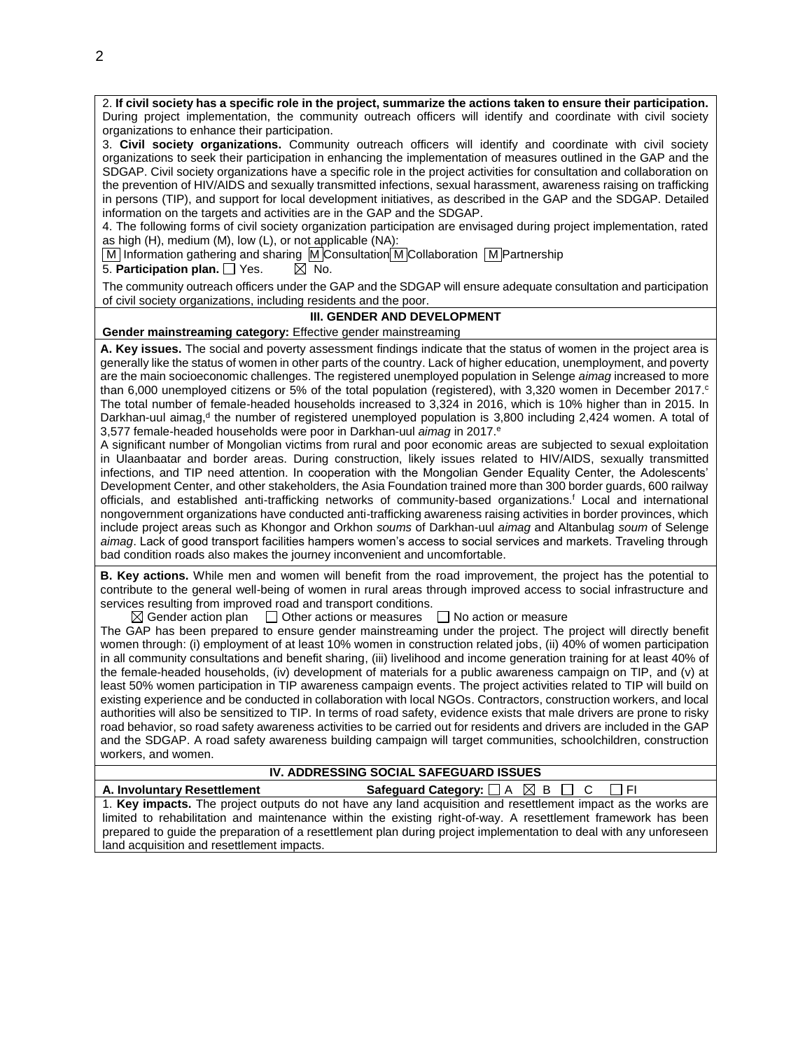2. **If civil society has a specific role in the project, summarize the actions taken to ensure their participation.** During project implementation, the community outreach officers will identify and coordinate with civil society organizations to enhance their participation.

3. **Civil society organizations.** Community outreach officers will identify and coordinate with civil society organizations to seek their participation in enhancing the implementation of measures outlined in the GAP and the SDGAP. Civil society organizations have a specific role in the project activities for consultation and collaboration on the prevention of HIV/AIDS and sexually transmitted infections, sexual harassment, awareness raising on trafficking in persons (TIP), and support for local development initiatives, as described in the GAP and the SDGAP. Detailed information on the targets and activities are in the GAP and the SDGAP.

4. The following forms of civil society organization participation are envisaged during project implementation, rated as high (H), medium (M), low (L), or not applicable (NA):

M Information gathering and sharing M Consultation M Collaboration M Partnership

5. **Participation plan.**  $\Box$  Yes.  $\Box$  No.

The community outreach officers under the GAP and the SDGAP will ensure adequate consultation and participation of civil society organizations, including residents and the poor.

## **III. GENDER AND DEVELOPMENT**

**Gender mainstreaming category:** Effective gender mainstreaming

**A. Key issues.** The social and poverty assessment findings indicate that the status of women in the project area is generally like the status of women in other parts of the country. Lack of higher education, unemployment, and poverty are the main socioeconomic challenges. The registered unemployed population in Selenge *aimag* increased to more than 6,000 unemployed citizens or 5% of the total population (registered), with 3,320 women in December 2017.<sup>c</sup> The total number of female-headed households increased to 3,324 in 2016, which is 10% higher than in 2015. In Darkhan-uul aimag,<sup>d</sup> the number of registered unemployed population is 3,800 including 2,424 women. A total of 3,577 female-headed households were poor in Darkhan-uul *aimag* in 2017.<sup>e</sup>

A significant number of Mongolian victims from rural and poor economic areas are subjected to sexual exploitation in Ulaanbaatar and border areas. During construction, likely issues related to HIV/AIDS, sexually transmitted infections, and TIP need attention. In cooperation with the Mongolian Gender Equality Center, the Adolescents' Development Center, and other stakeholders, the Asia Foundation trained more than 300 border guards, 600 railway officials, and established anti-trafficking networks of community-based organizations.<sup>f</sup> Local and international nongovernment organizations have conducted anti-trafficking awareness raising activities in border provinces, which include project areas such as Khongor and Orkhon *soums* of Darkhan-uul *aimag* and Altanbulag *soum* of Selenge *aimag*. Lack of good transport facilities hampers women's access to social services and markets. Traveling through bad condition roads also makes the journey inconvenient and uncomfortable.

**B. Key actions.** While men and women will benefit from the road improvement, the project has the potential to contribute to the general well-being of women in rural areas through improved access to social infrastructure and services resulting from improved road and transport conditions.

 $\boxtimes$  Gender action plan  $\Box$  Other actions or measures  $\Box$  No action or measure

The GAP has been prepared to ensure gender mainstreaming under the project. The project will directly benefit women through: (i) employment of at least 10% women in construction related jobs, (ii) 40% of women participation in all community consultations and benefit sharing, (iii) livelihood and income generation training for at least 40% of the female-headed households, (iv) development of materials for a public awareness campaign on TIP, and (v) at least 50% women participation in TIP awareness campaign events. The project activities related to TIP will build on existing experience and be conducted in collaboration with local NGOs. Contractors, construction workers, and local authorities will also be sensitized to TIP. In terms of road safety, evidence exists that male drivers are prone to risky road behavior, so road safety awareness activities to be carried out for residents and drivers are included in the GAP and the SDGAP. A road safety awareness building campaign will target communities, schoolchildren, construction workers, and women.

## **IV. ADDRESSING SOCIAL SAFEGUARD ISSUES**

## **A. Involuntary Resettlement Safequard Category:**  $\Box$  A  $\Box$  B  $\Box$  C  $\Box$  FI

1. **Key impacts.** The project outputs do not have any land acquisition and resettlement impact as the works are limited to rehabilitation and maintenance within the existing right-of-way. A resettlement framework has been prepared to guide the preparation of a resettlement plan during project implementation to deal with any unforeseen land acquisition and resettlement impacts.